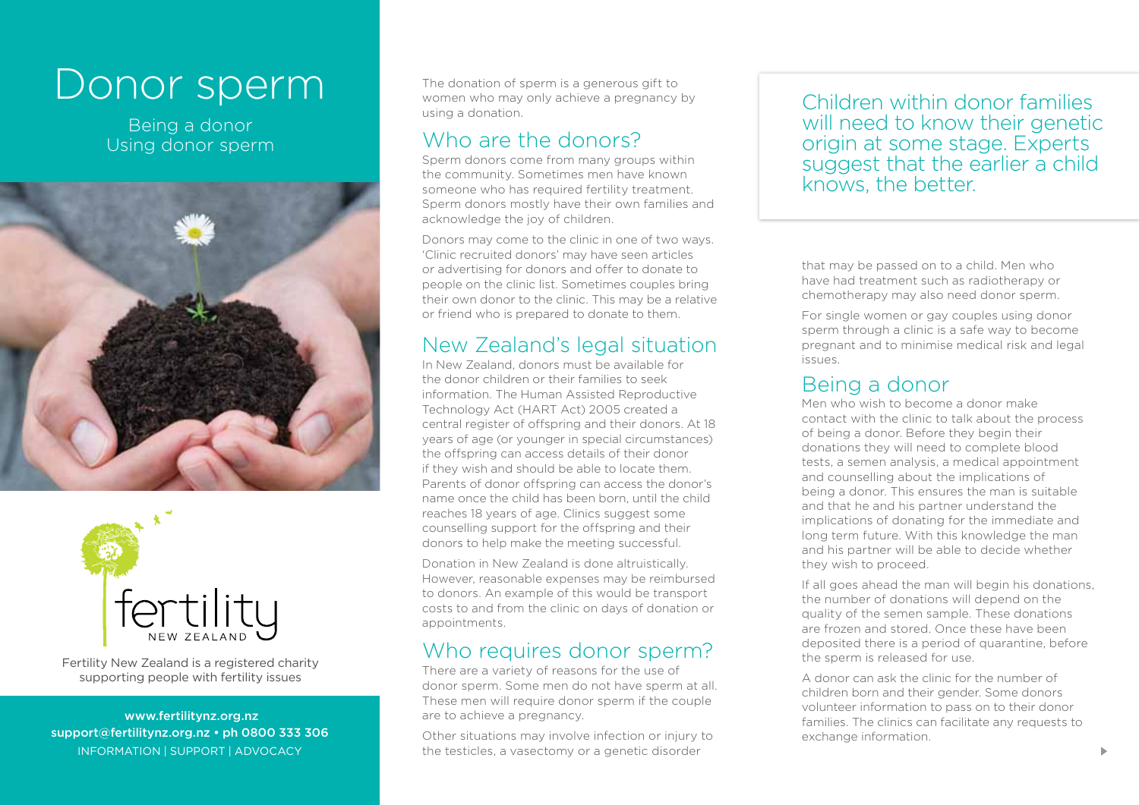# Donor sperm

Being a donor Using donor sperm





Fertility New Zealand is a registered charity supporting people with fertility issues

 www.fertilitynz.org.nz support@fertilitynz.org.nz • ph 0800 333 306 The donation of sperm is a generous gift to women who may only achieve a pregnancy by using a donation.

#### Who are the donors?

Sperm donors come from many groups within the community. Sometimes men have known someone who has required fertility treatment. Sperm donors mostly have their own families and acknowledge the joy of children.

Donors may come to the clinic in one of two ways. 'Clinic recruited donors' may have seen articles or advertising for donors and offer to donate to people on the clinic list. Sometimes couples bring their own donor to the clinic. This may be a relative or friend who is prepared to donate to them.

### New Zealand's legal situation

In New Zealand, donors must be available for the donor children or their families to seek information. The Human Assisted Reproductive Technology Act (HART Act) 2005 created a central register of offspring and their donors. At 18 years of age (or younger in special circumstances) the offspring can access details of their donor if they wish and should be able to locate them. Parents of donor offspring can access the donor's name once the child has been born, until the child reaches 18 years of age. Clinics suggest some counselling support for the offspring and their donors to help make the meeting successful.

Donation in New Zealand is done altruistically. However, reasonable expenses may be reimbursed to donors. An example of this would be transport costs to and from the clinic on days of donation or appointments.

## Who requires donor sperm?

There are a variety of reasons for the use of donor sperm. Some men do not have sperm at all. These men will require donor sperm if the couple are to achieve a pregnancy.

INFORMATION | SUPPORT | ADVOCACY THE TESTICLES, a vasectomy or a genetic disorder The Testic and Testic disorder Other situations may involve infection or injury to

Children within donor families will need to know their genetic origin at some stage. Experts suggest that the earlier a child knows, the better.

that may be passed on to a child. Men who have had treatment such as radiotherapy or chemotherapy may also need donor sperm.

For single women or gay couples using donor sperm through a clinic is a safe way to become pregnant and to minimise medical risk and legal issues.

### Being a donor

Men who wish to become a donor make contact with the clinic to talk about the process of being a donor. Before they begin their donations they will need to complete blood tests, a semen analysis, a medical appointment and counselling about the implications of being a donor. This ensures the man is suitable and that he and his partner understand the implications of donating for the immediate and long term future. With this knowledge the man and his partner will be able to decide whether they wish to proceed.

If all goes ahead the man will begin his donations, the number of donations will depend on the quality of the semen sample. These donations are frozen and stored. Once these have been deposited there is a period of quarantine, before the sperm is released for use.

A donor can ask the clinic for the number of children born and their gender. Some donors volunteer information to pass on to their donor families. The clinics can facilitate any requests to exchange information.